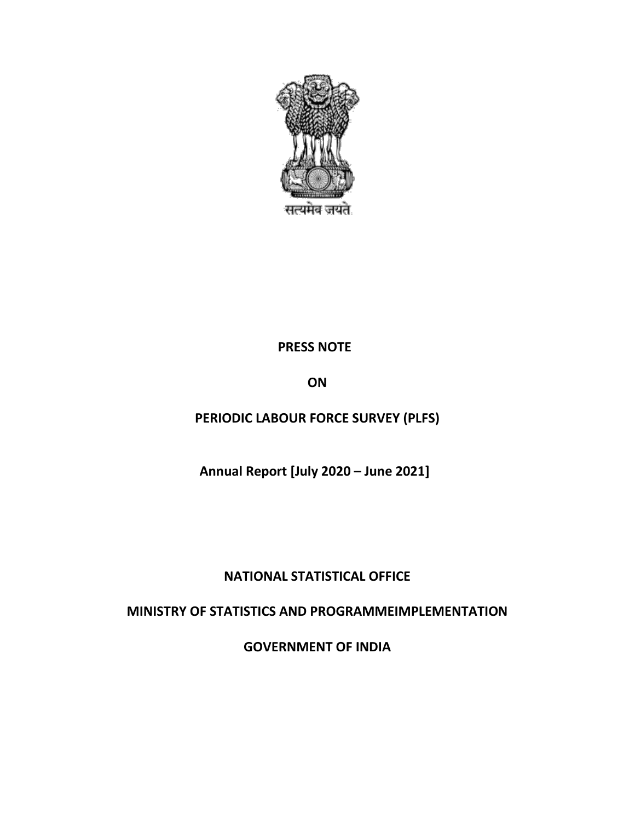

## **PRESS NOTE**

**ON**

# **PERIODIC LABOUR FORCE SURVEY (PLFS)**

**Annual Report [July 2020 – June 2021]**

## **NATIONAL STATISTICAL OFFICE**

# **MINISTRY OF STATISTICS AND PROGRAMMEIMPLEMENTATION**

**GOVERNMENT OF INDIA**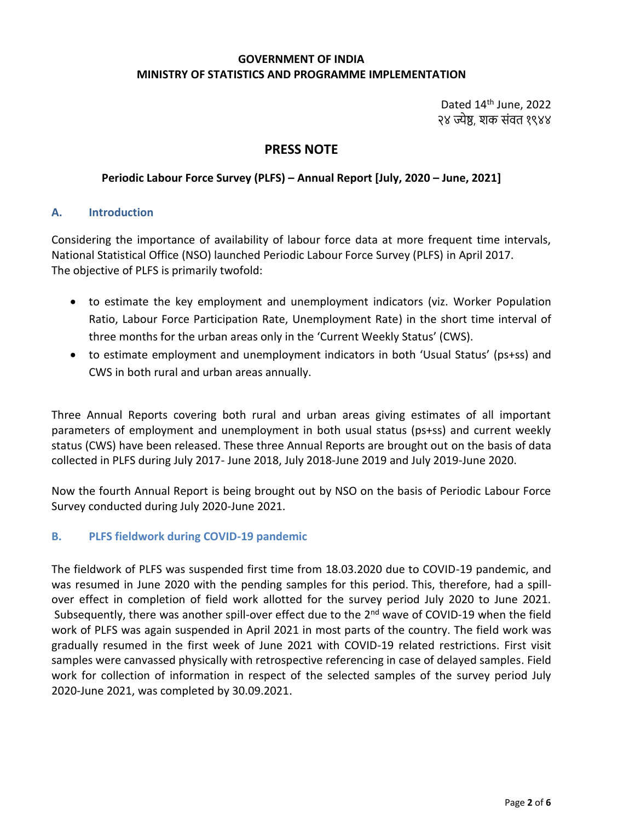#### **GOVERNMENT OF INDIA MINISTRY OF STATISTICS AND PROGRAMME IMPLEMENTATION**

Dated 14<sup>th</sup> June, 2022 २४ ज्येष्ठ, शक संवत १९४४

## **PRESS NOTE**

#### **Periodic Labour Force Survey (PLFS) – Annual Report [July, 2020 – June, 2021]**

#### **A. Introduction**

Considering the importance of availability of labour force data at more frequent time intervals, National Statistical Office (NSO) launched Periodic Labour Force Survey (PLFS) in April 2017. The objective of PLFS is primarily twofold:

- to estimate the key employment and unemployment indicators (viz. Worker Population Ratio, Labour Force Participation Rate, Unemployment Rate) in the short time interval of three months for the urban areas only in the 'Current Weekly Status' (CWS).
- to estimate employment and unemployment indicators in both 'Usual Status' (ps+ss) and CWS in both rural and urban areas annually.

Three Annual Reports covering both rural and urban areas giving estimates of all important parameters of employment and unemployment in both usual status (ps+ss) and current weekly status (CWS) have been released. These three Annual Reports are brought out on the basis of data collected in PLFS during July 2017- June 2018, July 2018-June 2019 and July 2019-June 2020.

Now the fourth Annual Report is being brought out by NSO on the basis of Periodic Labour Force Survey conducted during July 2020-June 2021.

#### **B. PLFS fieldwork during COVID-19 pandemic**

The fieldwork of PLFS was suspended first time from 18.03.2020 due to COVID-19 pandemic, and was resumed in June 2020 with the pending samples for this period. This, therefore, had a spillover effect in completion of field work allotted for the survey period July 2020 to June 2021. Subsequently, there was another spill-over effect due to the  $2<sup>nd</sup>$  wave of COVID-19 when the field work of PLFS was again suspended in April 2021 in most parts of the country. The field work was gradually resumed in the first week of June 2021 with COVID-19 related restrictions. First visit samples were canvassed physically with retrospective referencing in case of delayed samples. Field work for collection of information in respect of the selected samples of the survey period July 2020-June 2021, was completed by 30.09.2021.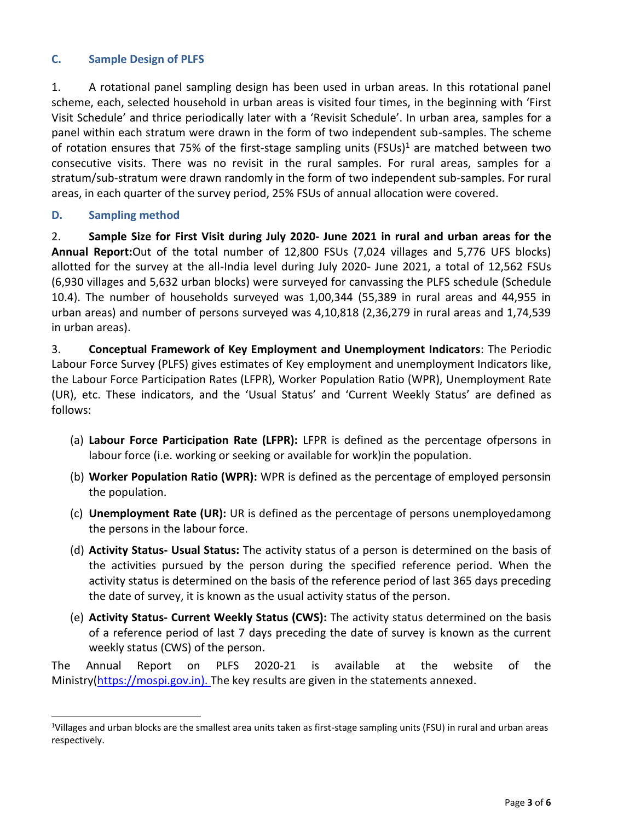## **C. Sample Design of PLFS**

1. A rotational panel sampling design has been used in urban areas. In this rotational panel scheme, each, selected household in urban areas is visited four times, in the beginning with 'First Visit Schedule' and thrice periodically later with a 'Revisit Schedule'. In urban area, samples for a panel within each stratum were drawn in the form of two independent sub-samples. The scheme of rotation ensures that 75% of the first-stage sampling units (FSUs)<sup>1</sup> are matched between two consecutive visits. There was no revisit in the rural samples. For rural areas, samples for a stratum/sub-stratum were drawn randomly in the form of two independent sub-samples. For rural areas, in each quarter of the survey period, 25% FSUs of annual allocation were covered.

### **D. Sampling method**

 $\overline{a}$ 

2. **Sample Size for First Visit during July 2020- June 2021 in rural and urban areas for the Annual Report:**Out of the total number of 12,800 FSUs (7,024 villages and 5,776 UFS blocks) allotted for the survey at the all-India level during July 2020- June 2021, a total of 12,562 FSUs (6,930 villages and 5,632 urban blocks) were surveyed for canvassing the PLFS schedule (Schedule 10.4). The number of households surveyed was 1,00,344 (55,389 in rural areas and 44,955 in urban areas) and number of persons surveyed was 4,10,818 (2,36,279 in rural areas and 1,74,539 in urban areas).

3. **Conceptual Framework of Key Employment and Unemployment Indicators**: The Periodic Labour Force Survey (PLFS) gives estimates of Key employment and unemployment Indicators like, the Labour Force Participation Rates (LFPR), Worker Population Ratio (WPR), Unemployment Rate (UR), etc. These indicators, and the 'Usual Status' and 'Current Weekly Status' are defined as follows:

- (a) **Labour Force Participation Rate (LFPR):** LFPR is defined as the percentage ofpersons in labour force (i.e. working or seeking or available for work)in the population.
- (b) **Worker Population Ratio (WPR):** WPR is defined as the percentage of employed personsin the population.
- (c) **Unemployment Rate (UR):** UR is defined as the percentage of persons unemployedamong the persons in the labour force.
- (d) **Activity Status- Usual Status:** The activity status of a person is determined on the basis of the activities pursued by the person during the specified reference period. When the activity status is determined on the basis of the reference period of last 365 days preceding the date of survey, it is known as the usual activity status of the person.
- (e) **Activity Status- Current Weekly Status (CWS):** The activity status determined on the basis of a reference period of last 7 days preceding the date of survey is known as the current weekly status (CWS) of the person.

The Annual Report on PLFS 2020-21 is available at the website of the Ministry[\(https://mospi.gov.in\)](https://mospi.gov.in/). The key results are given in the statements annexed.

<sup>1</sup>Villages and urban blocks are the smallest area units taken as first-stage sampling units (FSU) in rural and urban areas respectively.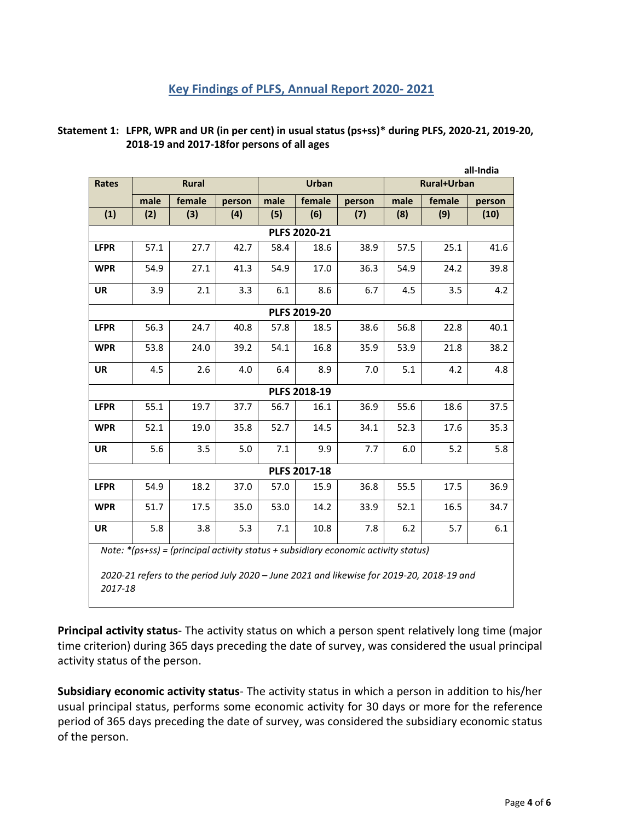#### **Key Findings of PLFS, Annual Report 2020- 2021**

| Statement 1: LFPR, WPR and UR (in per cent) in usual status (ps+ss)* during PLFS, 2020-21, 2019-20, |
|-----------------------------------------------------------------------------------------------------|
| 2018-19 and 2017-18for persons of all ages                                                          |

| all-India                                                                            |      |              |        |         |              |        |                    |        |        |  |  |  |
|--------------------------------------------------------------------------------------|------|--------------|--------|---------|--------------|--------|--------------------|--------|--------|--|--|--|
| <b>Rates</b>                                                                         |      | <b>Rural</b> |        |         | <b>Urban</b> |        | <b>Rural+Urban</b> |        |        |  |  |  |
|                                                                                      | male | female       | person | male    | female       | person | male               | female | person |  |  |  |
| (1)                                                                                  | (2)  | (3)          | (4)    | (5)     | (6)          | (7)    | (8)                | (9)    | (10)   |  |  |  |
| PLFS 2020-21                                                                         |      |              |        |         |              |        |                    |        |        |  |  |  |
| <b>LFPR</b>                                                                          | 57.1 | 27.7         | 42.7   | 58.4    | 18.6         | 38.9   | 57.5               | 25.1   | 41.6   |  |  |  |
| <b>WPR</b>                                                                           | 54.9 | 27.1         | 41.3   | 54.9    | 17.0         | 36.3   | 54.9               | 24.2   | 39.8   |  |  |  |
| UR                                                                                   | 3.9  | 2.1          | 3.3    | 6.1     | 8.6          | 6.7    | 4.5                | 3.5    | 4.2    |  |  |  |
| PLFS 2019-20                                                                         |      |              |        |         |              |        |                    |        |        |  |  |  |
| <b>LFPR</b>                                                                          | 56.3 | 24.7         | 40.8   | 57.8    | 18.5         | 38.6   | 56.8               | 22.8   | 40.1   |  |  |  |
| <b>WPR</b>                                                                           | 53.8 | 24.0         | 39.2   | 54.1    | 16.8         | 35.9   | 53.9               | 21.8   | 38.2   |  |  |  |
| UR                                                                                   | 4.5  | 2.6          | 4.0    | 6.4     | 8.9          | 7.0    | 5.1                | 4.2    | 4.8    |  |  |  |
|                                                                                      |      |              |        |         | PLFS 2018-19 |        |                    |        |        |  |  |  |
| <b>LFPR</b>                                                                          | 55.1 | 19.7         | 37.7   | 56.7    | 16.1         | 36.9   | 55.6               | 18.6   | 37.5   |  |  |  |
| <b>WPR</b>                                                                           | 52.1 | 19.0         | 35.8   | 52.7    | 14.5         | 34.1   | 52.3               | 17.6   | 35.3   |  |  |  |
| UR                                                                                   | 5.6  | 3.5          | 5.0    | 7.1     | 9.9          | 7.7    | 6.0                | 5.2    | 5.8    |  |  |  |
| PLFS 2017-18                                                                         |      |              |        |         |              |        |                    |        |        |  |  |  |
| <b>LFPR</b>                                                                          | 54.9 | 18.2         | 37.0   | 57.0    | 15.9         | 36.8   | 55.5               | 17.5   | 36.9   |  |  |  |
| <b>WPR</b>                                                                           | 51.7 | 17.5         | 35.0   | 53.0    | 14.2         | 33.9   | 52.1               | 16.5   | 34.7   |  |  |  |
| UR                                                                                   | 5.8  | 3.8          | 5.3    | $7.1\,$ | 10.8         | 7.8    | 6.2                | 5.7    | 6.1    |  |  |  |
| Note: $*(ps+ss)$ = (principal activity status + subsidiary economic activity status) |      |              |        |         |              |        |                    |        |        |  |  |  |

*2020-21 refers to the period July 2020 – June 2021 and likewise for 2019-20, 2018-19 and 2017-18*

**Principal activity status**- The activity status on which a person spent relatively long time (major time criterion) during 365 days preceding the date of survey, was considered the usual principal activity status of the person.

**Subsidiary economic activity status**- The activity status in which a person in addition to his/her usual principal status, performs some economic activity for 30 days or more for the reference period of 365 days preceding the date of survey, was considered the subsidiary economic status of the person.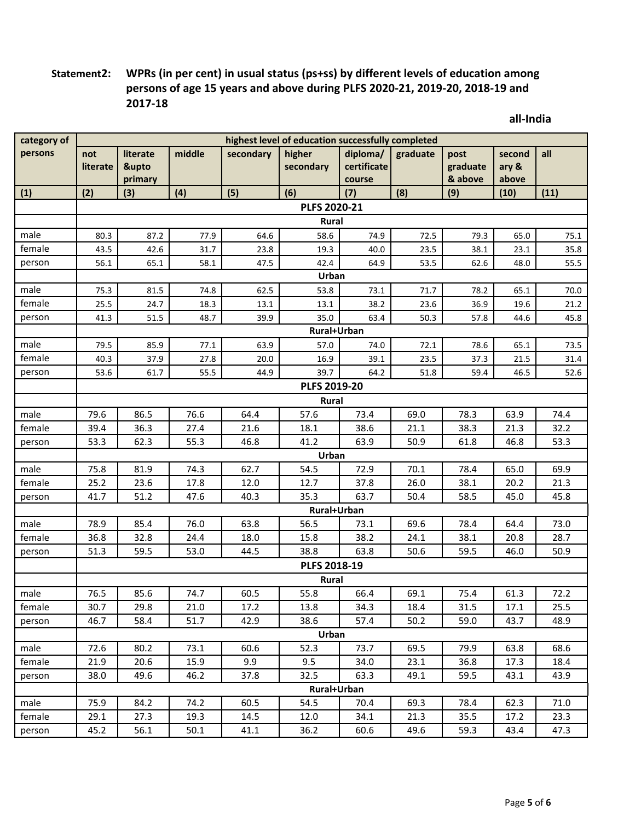## **Statement2: WPRs (in per cent) in usual status (ps+ss) by different levels of education among persons of age 15 years and above during PLFS 2020-21, 2019-20, 2018-19 and 2017-18**

**all-India**

| persons<br>middle<br>secondary<br>diploma/<br>literate<br>higher<br>graduate<br>all<br>not<br>post<br>second<br>certificate<br>&upto<br>secondary<br>graduate<br>literate<br>ary &<br>& above<br>primary<br>above<br>course<br>(3)<br>(4)<br>(5)<br>(6)<br>(7)<br>(8)<br>(11)<br>(1)<br>(2)<br>(9)<br>(10)<br>PLFS 2020-21<br>Rural<br>male<br>64.6<br>58.6<br>80.3<br>87.2<br>77.9<br>74.9<br>72.5<br>79.3<br>65.0<br>75.1<br>female<br>43.5<br>42.6<br>31.7<br>23.8<br>19.3<br>40.0<br>23.5<br>38.1<br>23.1<br>35.8<br>42.4<br>64.9<br>56.1<br>65.1<br>58.1<br>47.5<br>53.5<br>62.6<br>48.0<br>55.5<br>person<br>Urban<br>male<br>75.3<br>81.5<br>74.8<br>62.5<br>53.8<br>73.1<br>71.7<br>78.2<br>65.1<br>70.0<br>female<br>18.3<br>38.2<br>25.5<br>24.7<br>13.1<br>23.6<br>36.9<br>19.6<br>21.2<br>13.1<br>48.7<br>39.9<br>35.0<br>41.3<br>51.5<br>63.4<br>50.3<br>57.8<br>44.6<br>45.8<br>person<br>Rural+Urban<br>male<br>79.5<br>85.9<br>77.1<br>63.9<br>57.0<br>74.0<br>72.1<br>78.6<br>65.1<br>73.5<br>female<br>40.3<br>37.9<br>27.8<br>20.0<br>16.9<br>39.1<br>23.5<br>37.3<br>21.5<br>31.4<br>55.5<br>64.2<br>53.6<br>61.7<br>44.9<br>39.7<br>51.8<br>59.4<br>46.5<br>52.6<br>person<br>PLFS 2019-20<br>Rural<br>male<br>79.6<br>86.5<br>76.6<br>64.4<br>57.6<br>73.4<br>69.0<br>78.3<br>63.9<br>74.4<br>female<br>39.4<br>36.3<br>27.4<br>18.1<br>38.6<br>21.1<br>38.3<br>21.3<br>32.2<br>21.6<br>55.3<br>41.2<br>63.9<br>50.9<br>53.3<br>53.3<br>62.3<br>46.8<br>61.8<br>46.8<br>person<br>Urban<br>72.9<br>male<br>75.8<br>81.9<br>74.3<br>62.7<br>54.5<br>70.1<br>78.4<br>65.0<br>69.9<br>female<br>25.2<br>23.6<br>17.8<br>12.0<br>12.7<br>37.8<br>26.0<br>38.1<br>20.2<br>21.3<br>35.3<br>41.7<br>51.2<br>47.6<br>40.3<br>63.7<br>50.4<br>58.5<br>45.0<br>45.8<br>person<br>Rural+Urban<br>78.9<br>76.0<br>63.8<br>56.5<br>69.6<br>78.4<br>64.4<br>73.0<br>male<br>85.4<br>73.1<br>15.8<br>28.7<br>female<br>36.8<br>32.8<br>24.4<br>18.0<br>38.2<br>24.1<br>38.1<br>20.8<br>59.5<br>53.0<br>38.8<br>63.8<br>50.6<br>59.5<br>51.3<br>44.5<br>46.0<br>50.9<br>person<br>PLFS 2018-19<br><b>Rural</b><br>55.8<br>male<br>76.5<br>85.6<br>74.7<br>60.5<br>66.4<br>69.1<br>75.4<br>61.3<br>72.2<br>female<br>34.3<br>25.5<br>30.7<br>29.8<br>21.0<br>17.2<br>13.8<br>18.4<br>31.5<br>17.1<br>51.7<br>46.7<br>58.4<br>42.9<br>38.6<br>57.4<br>50.2<br>59.0<br>43.7<br>48.9<br>person<br>Urban<br>72.6<br>80.2<br>73.1<br>60.6<br>52.3<br>73.7<br>69.5<br>79.9<br>63.8<br>68.6<br>male<br>15.9<br>9.9<br>9.5<br>female<br>21.9<br>20.6<br>34.0<br>23.1<br>36.8<br>17.3<br>18.4<br>38.0<br>49.6<br>46.2<br>37.8<br>32.5<br>63.3<br>49.1<br>59.5<br>43.1<br>43.9<br>person<br>Rural+Urban | category of | highest level of education successfully completed |      |      |      |      |      |      |      |      |      |  |
|----------------------------------------------------------------------------------------------------------------------------------------------------------------------------------------------------------------------------------------------------------------------------------------------------------------------------------------------------------------------------------------------------------------------------------------------------------------------------------------------------------------------------------------------------------------------------------------------------------------------------------------------------------------------------------------------------------------------------------------------------------------------------------------------------------------------------------------------------------------------------------------------------------------------------------------------------------------------------------------------------------------------------------------------------------------------------------------------------------------------------------------------------------------------------------------------------------------------------------------------------------------------------------------------------------------------------------------------------------------------------------------------------------------------------------------------------------------------------------------------------------------------------------------------------------------------------------------------------------------------------------------------------------------------------------------------------------------------------------------------------------------------------------------------------------------------------------------------------------------------------------------------------------------------------------------------------------------------------------------------------------------------------------------------------------------------------------------------------------------------------------------------------------------------------------------------------------------------------------------------------------------------------------------------------------------------------------------------------------------------------------------------------------------------------------------------------------------------------------------------------------------------------------------------------------------------------------------------------------------------------------------------------------------------------------------------------|-------------|---------------------------------------------------|------|------|------|------|------|------|------|------|------|--|
|                                                                                                                                                                                                                                                                                                                                                                                                                                                                                                                                                                                                                                                                                                                                                                                                                                                                                                                                                                                                                                                                                                                                                                                                                                                                                                                                                                                                                                                                                                                                                                                                                                                                                                                                                                                                                                                                                                                                                                                                                                                                                                                                                                                                                                                                                                                                                                                                                                                                                                                                                                                                                                                                                                    |             |                                                   |      |      |      |      |      |      |      |      |      |  |
|                                                                                                                                                                                                                                                                                                                                                                                                                                                                                                                                                                                                                                                                                                                                                                                                                                                                                                                                                                                                                                                                                                                                                                                                                                                                                                                                                                                                                                                                                                                                                                                                                                                                                                                                                                                                                                                                                                                                                                                                                                                                                                                                                                                                                                                                                                                                                                                                                                                                                                                                                                                                                                                                                                    |             |                                                   |      |      |      |      |      |      |      |      |      |  |
|                                                                                                                                                                                                                                                                                                                                                                                                                                                                                                                                                                                                                                                                                                                                                                                                                                                                                                                                                                                                                                                                                                                                                                                                                                                                                                                                                                                                                                                                                                                                                                                                                                                                                                                                                                                                                                                                                                                                                                                                                                                                                                                                                                                                                                                                                                                                                                                                                                                                                                                                                                                                                                                                                                    |             |                                                   |      |      |      |      |      |      |      |      |      |  |
|                                                                                                                                                                                                                                                                                                                                                                                                                                                                                                                                                                                                                                                                                                                                                                                                                                                                                                                                                                                                                                                                                                                                                                                                                                                                                                                                                                                                                                                                                                                                                                                                                                                                                                                                                                                                                                                                                                                                                                                                                                                                                                                                                                                                                                                                                                                                                                                                                                                                                                                                                                                                                                                                                                    |             |                                                   |      |      |      |      |      |      |      |      |      |  |
|                                                                                                                                                                                                                                                                                                                                                                                                                                                                                                                                                                                                                                                                                                                                                                                                                                                                                                                                                                                                                                                                                                                                                                                                                                                                                                                                                                                                                                                                                                                                                                                                                                                                                                                                                                                                                                                                                                                                                                                                                                                                                                                                                                                                                                                                                                                                                                                                                                                                                                                                                                                                                                                                                                    |             |                                                   |      |      |      |      |      |      |      |      |      |  |
|                                                                                                                                                                                                                                                                                                                                                                                                                                                                                                                                                                                                                                                                                                                                                                                                                                                                                                                                                                                                                                                                                                                                                                                                                                                                                                                                                                                                                                                                                                                                                                                                                                                                                                                                                                                                                                                                                                                                                                                                                                                                                                                                                                                                                                                                                                                                                                                                                                                                                                                                                                                                                                                                                                    |             |                                                   |      |      |      |      |      |      |      |      |      |  |
|                                                                                                                                                                                                                                                                                                                                                                                                                                                                                                                                                                                                                                                                                                                                                                                                                                                                                                                                                                                                                                                                                                                                                                                                                                                                                                                                                                                                                                                                                                                                                                                                                                                                                                                                                                                                                                                                                                                                                                                                                                                                                                                                                                                                                                                                                                                                                                                                                                                                                                                                                                                                                                                                                                    |             |                                                   |      |      |      |      |      |      |      |      |      |  |
|                                                                                                                                                                                                                                                                                                                                                                                                                                                                                                                                                                                                                                                                                                                                                                                                                                                                                                                                                                                                                                                                                                                                                                                                                                                                                                                                                                                                                                                                                                                                                                                                                                                                                                                                                                                                                                                                                                                                                                                                                                                                                                                                                                                                                                                                                                                                                                                                                                                                                                                                                                                                                                                                                                    |             |                                                   |      |      |      |      |      |      |      |      |      |  |
|                                                                                                                                                                                                                                                                                                                                                                                                                                                                                                                                                                                                                                                                                                                                                                                                                                                                                                                                                                                                                                                                                                                                                                                                                                                                                                                                                                                                                                                                                                                                                                                                                                                                                                                                                                                                                                                                                                                                                                                                                                                                                                                                                                                                                                                                                                                                                                                                                                                                                                                                                                                                                                                                                                    |             |                                                   |      |      |      |      |      |      |      |      |      |  |
|                                                                                                                                                                                                                                                                                                                                                                                                                                                                                                                                                                                                                                                                                                                                                                                                                                                                                                                                                                                                                                                                                                                                                                                                                                                                                                                                                                                                                                                                                                                                                                                                                                                                                                                                                                                                                                                                                                                                                                                                                                                                                                                                                                                                                                                                                                                                                                                                                                                                                                                                                                                                                                                                                                    |             |                                                   |      |      |      |      |      |      |      |      |      |  |
|                                                                                                                                                                                                                                                                                                                                                                                                                                                                                                                                                                                                                                                                                                                                                                                                                                                                                                                                                                                                                                                                                                                                                                                                                                                                                                                                                                                                                                                                                                                                                                                                                                                                                                                                                                                                                                                                                                                                                                                                                                                                                                                                                                                                                                                                                                                                                                                                                                                                                                                                                                                                                                                                                                    |             |                                                   |      |      |      |      |      |      |      |      |      |  |
|                                                                                                                                                                                                                                                                                                                                                                                                                                                                                                                                                                                                                                                                                                                                                                                                                                                                                                                                                                                                                                                                                                                                                                                                                                                                                                                                                                                                                                                                                                                                                                                                                                                                                                                                                                                                                                                                                                                                                                                                                                                                                                                                                                                                                                                                                                                                                                                                                                                                                                                                                                                                                                                                                                    |             |                                                   |      |      |      |      |      |      |      |      |      |  |
|                                                                                                                                                                                                                                                                                                                                                                                                                                                                                                                                                                                                                                                                                                                                                                                                                                                                                                                                                                                                                                                                                                                                                                                                                                                                                                                                                                                                                                                                                                                                                                                                                                                                                                                                                                                                                                                                                                                                                                                                                                                                                                                                                                                                                                                                                                                                                                                                                                                                                                                                                                                                                                                                                                    |             |                                                   |      |      |      |      |      |      |      |      |      |  |
|                                                                                                                                                                                                                                                                                                                                                                                                                                                                                                                                                                                                                                                                                                                                                                                                                                                                                                                                                                                                                                                                                                                                                                                                                                                                                                                                                                                                                                                                                                                                                                                                                                                                                                                                                                                                                                                                                                                                                                                                                                                                                                                                                                                                                                                                                                                                                                                                                                                                                                                                                                                                                                                                                                    |             |                                                   |      |      |      |      |      |      |      |      |      |  |
|                                                                                                                                                                                                                                                                                                                                                                                                                                                                                                                                                                                                                                                                                                                                                                                                                                                                                                                                                                                                                                                                                                                                                                                                                                                                                                                                                                                                                                                                                                                                                                                                                                                                                                                                                                                                                                                                                                                                                                                                                                                                                                                                                                                                                                                                                                                                                                                                                                                                                                                                                                                                                                                                                                    |             |                                                   |      |      |      |      |      |      |      |      |      |  |
|                                                                                                                                                                                                                                                                                                                                                                                                                                                                                                                                                                                                                                                                                                                                                                                                                                                                                                                                                                                                                                                                                                                                                                                                                                                                                                                                                                                                                                                                                                                                                                                                                                                                                                                                                                                                                                                                                                                                                                                                                                                                                                                                                                                                                                                                                                                                                                                                                                                                                                                                                                                                                                                                                                    |             |                                                   |      |      |      |      |      |      |      |      |      |  |
|                                                                                                                                                                                                                                                                                                                                                                                                                                                                                                                                                                                                                                                                                                                                                                                                                                                                                                                                                                                                                                                                                                                                                                                                                                                                                                                                                                                                                                                                                                                                                                                                                                                                                                                                                                                                                                                                                                                                                                                                                                                                                                                                                                                                                                                                                                                                                                                                                                                                                                                                                                                                                                                                                                    |             |                                                   |      |      |      |      |      |      |      |      |      |  |
|                                                                                                                                                                                                                                                                                                                                                                                                                                                                                                                                                                                                                                                                                                                                                                                                                                                                                                                                                                                                                                                                                                                                                                                                                                                                                                                                                                                                                                                                                                                                                                                                                                                                                                                                                                                                                                                                                                                                                                                                                                                                                                                                                                                                                                                                                                                                                                                                                                                                                                                                                                                                                                                                                                    |             |                                                   |      |      |      |      |      |      |      |      |      |  |
|                                                                                                                                                                                                                                                                                                                                                                                                                                                                                                                                                                                                                                                                                                                                                                                                                                                                                                                                                                                                                                                                                                                                                                                                                                                                                                                                                                                                                                                                                                                                                                                                                                                                                                                                                                                                                                                                                                                                                                                                                                                                                                                                                                                                                                                                                                                                                                                                                                                                                                                                                                                                                                                                                                    |             |                                                   |      |      |      |      |      |      |      |      |      |  |
|                                                                                                                                                                                                                                                                                                                                                                                                                                                                                                                                                                                                                                                                                                                                                                                                                                                                                                                                                                                                                                                                                                                                                                                                                                                                                                                                                                                                                                                                                                                                                                                                                                                                                                                                                                                                                                                                                                                                                                                                                                                                                                                                                                                                                                                                                                                                                                                                                                                                                                                                                                                                                                                                                                    |             |                                                   |      |      |      |      |      |      |      |      |      |  |
|                                                                                                                                                                                                                                                                                                                                                                                                                                                                                                                                                                                                                                                                                                                                                                                                                                                                                                                                                                                                                                                                                                                                                                                                                                                                                                                                                                                                                                                                                                                                                                                                                                                                                                                                                                                                                                                                                                                                                                                                                                                                                                                                                                                                                                                                                                                                                                                                                                                                                                                                                                                                                                                                                                    |             |                                                   |      |      |      |      |      |      |      |      |      |  |
|                                                                                                                                                                                                                                                                                                                                                                                                                                                                                                                                                                                                                                                                                                                                                                                                                                                                                                                                                                                                                                                                                                                                                                                                                                                                                                                                                                                                                                                                                                                                                                                                                                                                                                                                                                                                                                                                                                                                                                                                                                                                                                                                                                                                                                                                                                                                                                                                                                                                                                                                                                                                                                                                                                    |             |                                                   |      |      |      |      |      |      |      |      |      |  |
|                                                                                                                                                                                                                                                                                                                                                                                                                                                                                                                                                                                                                                                                                                                                                                                                                                                                                                                                                                                                                                                                                                                                                                                                                                                                                                                                                                                                                                                                                                                                                                                                                                                                                                                                                                                                                                                                                                                                                                                                                                                                                                                                                                                                                                                                                                                                                                                                                                                                                                                                                                                                                                                                                                    |             |                                                   |      |      |      |      |      |      |      |      |      |  |
|                                                                                                                                                                                                                                                                                                                                                                                                                                                                                                                                                                                                                                                                                                                                                                                                                                                                                                                                                                                                                                                                                                                                                                                                                                                                                                                                                                                                                                                                                                                                                                                                                                                                                                                                                                                                                                                                                                                                                                                                                                                                                                                                                                                                                                                                                                                                                                                                                                                                                                                                                                                                                                                                                                    |             |                                                   |      |      |      |      |      |      |      |      |      |  |
|                                                                                                                                                                                                                                                                                                                                                                                                                                                                                                                                                                                                                                                                                                                                                                                                                                                                                                                                                                                                                                                                                                                                                                                                                                                                                                                                                                                                                                                                                                                                                                                                                                                                                                                                                                                                                                                                                                                                                                                                                                                                                                                                                                                                                                                                                                                                                                                                                                                                                                                                                                                                                                                                                                    |             |                                                   |      |      |      |      |      |      |      |      |      |  |
|                                                                                                                                                                                                                                                                                                                                                                                                                                                                                                                                                                                                                                                                                                                                                                                                                                                                                                                                                                                                                                                                                                                                                                                                                                                                                                                                                                                                                                                                                                                                                                                                                                                                                                                                                                                                                                                                                                                                                                                                                                                                                                                                                                                                                                                                                                                                                                                                                                                                                                                                                                                                                                                                                                    |             |                                                   |      |      |      |      |      |      |      |      |      |  |
|                                                                                                                                                                                                                                                                                                                                                                                                                                                                                                                                                                                                                                                                                                                                                                                                                                                                                                                                                                                                                                                                                                                                                                                                                                                                                                                                                                                                                                                                                                                                                                                                                                                                                                                                                                                                                                                                                                                                                                                                                                                                                                                                                                                                                                                                                                                                                                                                                                                                                                                                                                                                                                                                                                    |             |                                                   |      |      |      |      |      |      |      |      |      |  |
|                                                                                                                                                                                                                                                                                                                                                                                                                                                                                                                                                                                                                                                                                                                                                                                                                                                                                                                                                                                                                                                                                                                                                                                                                                                                                                                                                                                                                                                                                                                                                                                                                                                                                                                                                                                                                                                                                                                                                                                                                                                                                                                                                                                                                                                                                                                                                                                                                                                                                                                                                                                                                                                                                                    |             |                                                   |      |      |      |      |      |      |      |      |      |  |
|                                                                                                                                                                                                                                                                                                                                                                                                                                                                                                                                                                                                                                                                                                                                                                                                                                                                                                                                                                                                                                                                                                                                                                                                                                                                                                                                                                                                                                                                                                                                                                                                                                                                                                                                                                                                                                                                                                                                                                                                                                                                                                                                                                                                                                                                                                                                                                                                                                                                                                                                                                                                                                                                                                    |             |                                                   |      |      |      |      |      |      |      |      |      |  |
|                                                                                                                                                                                                                                                                                                                                                                                                                                                                                                                                                                                                                                                                                                                                                                                                                                                                                                                                                                                                                                                                                                                                                                                                                                                                                                                                                                                                                                                                                                                                                                                                                                                                                                                                                                                                                                                                                                                                                                                                                                                                                                                                                                                                                                                                                                                                                                                                                                                                                                                                                                                                                                                                                                    |             |                                                   |      |      |      |      |      |      |      |      |      |  |
|                                                                                                                                                                                                                                                                                                                                                                                                                                                                                                                                                                                                                                                                                                                                                                                                                                                                                                                                                                                                                                                                                                                                                                                                                                                                                                                                                                                                                                                                                                                                                                                                                                                                                                                                                                                                                                                                                                                                                                                                                                                                                                                                                                                                                                                                                                                                                                                                                                                                                                                                                                                                                                                                                                    |             |                                                   |      |      |      |      |      |      |      |      |      |  |
|                                                                                                                                                                                                                                                                                                                                                                                                                                                                                                                                                                                                                                                                                                                                                                                                                                                                                                                                                                                                                                                                                                                                                                                                                                                                                                                                                                                                                                                                                                                                                                                                                                                                                                                                                                                                                                                                                                                                                                                                                                                                                                                                                                                                                                                                                                                                                                                                                                                                                                                                                                                                                                                                                                    |             |                                                   |      |      |      |      |      |      |      |      |      |  |
|                                                                                                                                                                                                                                                                                                                                                                                                                                                                                                                                                                                                                                                                                                                                                                                                                                                                                                                                                                                                                                                                                                                                                                                                                                                                                                                                                                                                                                                                                                                                                                                                                                                                                                                                                                                                                                                                                                                                                                                                                                                                                                                                                                                                                                                                                                                                                                                                                                                                                                                                                                                                                                                                                                    |             |                                                   |      |      |      |      |      |      |      |      |      |  |
|                                                                                                                                                                                                                                                                                                                                                                                                                                                                                                                                                                                                                                                                                                                                                                                                                                                                                                                                                                                                                                                                                                                                                                                                                                                                                                                                                                                                                                                                                                                                                                                                                                                                                                                                                                                                                                                                                                                                                                                                                                                                                                                                                                                                                                                                                                                                                                                                                                                                                                                                                                                                                                                                                                    |             |                                                   |      |      |      |      |      |      |      |      |      |  |
|                                                                                                                                                                                                                                                                                                                                                                                                                                                                                                                                                                                                                                                                                                                                                                                                                                                                                                                                                                                                                                                                                                                                                                                                                                                                                                                                                                                                                                                                                                                                                                                                                                                                                                                                                                                                                                                                                                                                                                                                                                                                                                                                                                                                                                                                                                                                                                                                                                                                                                                                                                                                                                                                                                    |             |                                                   |      |      |      |      |      |      |      |      |      |  |
|                                                                                                                                                                                                                                                                                                                                                                                                                                                                                                                                                                                                                                                                                                                                                                                                                                                                                                                                                                                                                                                                                                                                                                                                                                                                                                                                                                                                                                                                                                                                                                                                                                                                                                                                                                                                                                                                                                                                                                                                                                                                                                                                                                                                                                                                                                                                                                                                                                                                                                                                                                                                                                                                                                    |             |                                                   |      |      |      |      |      |      |      |      |      |  |
|                                                                                                                                                                                                                                                                                                                                                                                                                                                                                                                                                                                                                                                                                                                                                                                                                                                                                                                                                                                                                                                                                                                                                                                                                                                                                                                                                                                                                                                                                                                                                                                                                                                                                                                                                                                                                                                                                                                                                                                                                                                                                                                                                                                                                                                                                                                                                                                                                                                                                                                                                                                                                                                                                                    |             |                                                   |      |      |      |      |      |      |      |      |      |  |
|                                                                                                                                                                                                                                                                                                                                                                                                                                                                                                                                                                                                                                                                                                                                                                                                                                                                                                                                                                                                                                                                                                                                                                                                                                                                                                                                                                                                                                                                                                                                                                                                                                                                                                                                                                                                                                                                                                                                                                                                                                                                                                                                                                                                                                                                                                                                                                                                                                                                                                                                                                                                                                                                                                    |             |                                                   |      |      |      |      |      |      |      |      |      |  |
|                                                                                                                                                                                                                                                                                                                                                                                                                                                                                                                                                                                                                                                                                                                                                                                                                                                                                                                                                                                                                                                                                                                                                                                                                                                                                                                                                                                                                                                                                                                                                                                                                                                                                                                                                                                                                                                                                                                                                                                                                                                                                                                                                                                                                                                                                                                                                                                                                                                                                                                                                                                                                                                                                                    | male        | 75.9                                              | 84.2 | 74.2 | 60.5 | 54.5 | 70.4 | 69.3 | 78.4 | 62.3 | 71.0 |  |
| 29.1<br>27.3<br>19.3<br>12.0<br>34.1<br>21.3<br>17.2<br>23.3<br>female<br>14.5<br>35.5                                                                                                                                                                                                                                                                                                                                                                                                                                                                                                                                                                                                                                                                                                                                                                                                                                                                                                                                                                                                                                                                                                                                                                                                                                                                                                                                                                                                                                                                                                                                                                                                                                                                                                                                                                                                                                                                                                                                                                                                                                                                                                                                                                                                                                                                                                                                                                                                                                                                                                                                                                                                             |             |                                                   |      |      |      |      |      |      |      |      |      |  |
| 56.1<br>50.1<br>36.2<br>45.2<br>41.1<br>60.6<br>49.6<br>59.3<br>43.4<br>47.3<br>person                                                                                                                                                                                                                                                                                                                                                                                                                                                                                                                                                                                                                                                                                                                                                                                                                                                                                                                                                                                                                                                                                                                                                                                                                                                                                                                                                                                                                                                                                                                                                                                                                                                                                                                                                                                                                                                                                                                                                                                                                                                                                                                                                                                                                                                                                                                                                                                                                                                                                                                                                                                                             |             |                                                   |      |      |      |      |      |      |      |      |      |  |